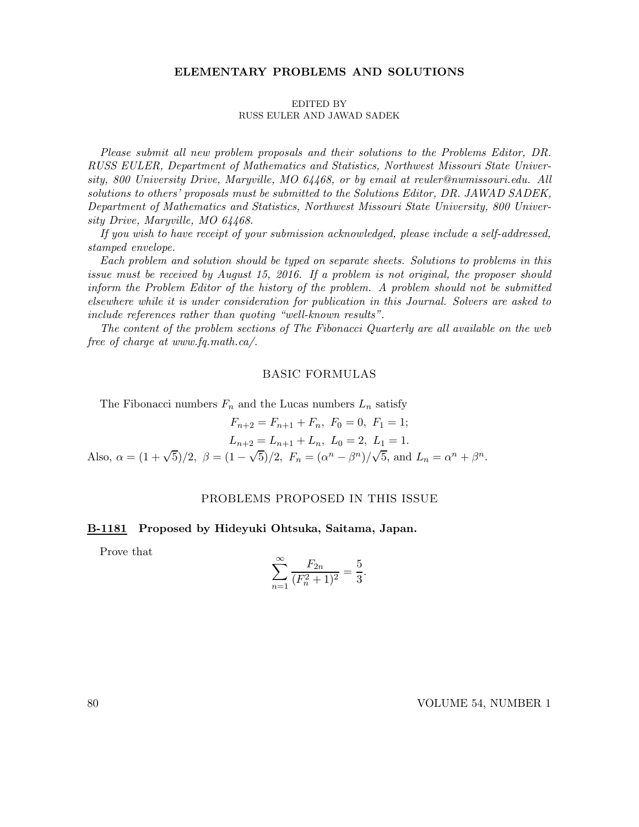### ELEMENTARY PROBLEMS AND SOLUTIONS

#### EDITED BY RUSS EULER AND JAWAD SADEK

Please submit all new problem proposals and their solutions to the Problems Editor, DR. RUSS EULER, Department of Mathematics and Statistics, Northwest Missouri State University, 800 University Drive, Maryville, MO 64468, or by email at reuler@nwmissouri.edu. All solutions to others' proposals must be submitted to the Solutions Editor, DR. JAWAD SADEK, Department of Mathematics and Statistics, Northwest Missouri State University, 800 University Drive, Maryville, MO 64468.

If you wish to have receipt of your submission acknowledged, please include a self-addressed, stamped envelope.

Each problem and solution should be typed on separate sheets. Solutions to problems in this issue must be received by August 15, 2016. If a problem is not original, the proposer should inform the Problem Editor of the history of the problem. A problem should not be submitted elsewhere while it is under consideration for publication in this Journal. Solvers are asked to include references rather than quoting "well-known results".

The content of the problem sections of The Fibonacci Quarterly are all available on the web free of charge at www.fq.math.ca/.

### BASIC FORMULAS

The Fibonacci numbers  $F_n$  and the Lucas numbers  $L_n$  satisfy

 $F_{n+2} = F_{n+1} + F_n, F_0 = 0, F_1 = 1;$  $L_{n+2} = L_{n+1} + L_n, L_0 = 2, L_1 = 1.$ Also,  $\alpha = (1 + \sqrt{5})/2$ ,  $\beta = (1 - \sqrt{5})/2$ ,  $F_n = (\alpha^n - \beta^n)/\sqrt{5}$ , and  $L_n = \alpha^n + \beta^n$ .

### PROBLEMS PROPOSED IN THIS ISSUE

### B-1181 Proposed by Hideyuki Ohtsuka, Saitama, Japan.

Prove that

$$
\sum_{n=1}^{\infty} \frac{F_{2n}}{(F_n^2 + 1)^2} = \frac{5}{3}.
$$

80 VOLUME 54, NUMBER 1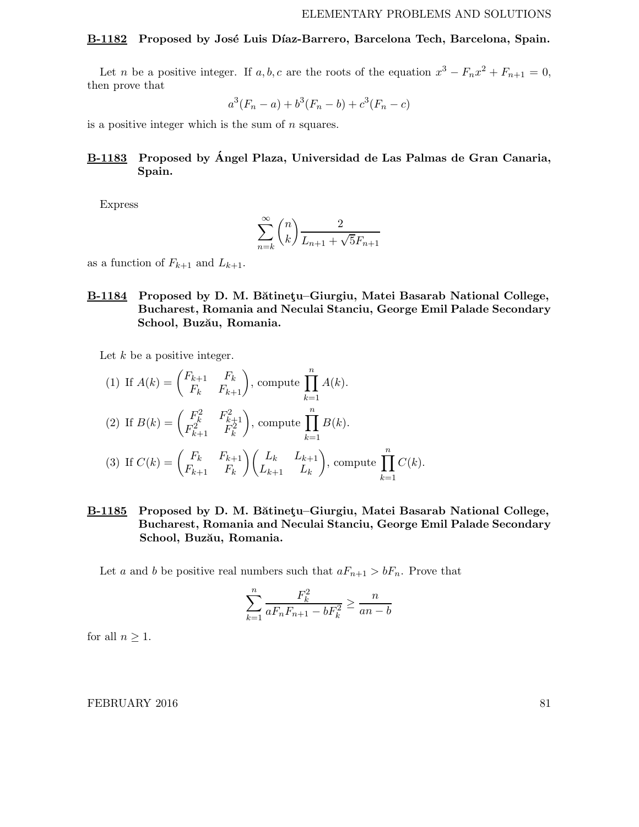#### B-1182 Proposed by José Luis Díaz-Barrero, Barcelona Tech, Barcelona, Spain.

Let *n* be a positive integer. If  $a, b, c$  are the roots of the equation  $x^3 - F_n x^2 + F_{n+1} = 0$ , then prove that

$$
a^3(F_n - a) + b^3(F_n - b) + c^3(F_n - c)
$$

is a positive integer which is the sum of  $n$  squares.

# B-1183 Proposed by Angel Plaza, Universidad de Las Palmas de Gran Canaria, ´ Spain.

Express

$$
\sum_{n=k}^{\infty} \binom{n}{k} \frac{2}{L_{n+1} + \sqrt{5}F_{n+1}}
$$

as a function of  $F_{k+1}$  and  $L_{k+1}$ .

B-1184 Proposed by D. M. Bătinetu–Giurgiu, Matei Basarab National College, Bucharest, Romania and Neculai Stanciu, George Emil Palade Secondary School, Buzău, Romania.

Let  $k$  be a positive integer.

(1) If 
$$
A(k) = \begin{pmatrix} F_{k+1} & F_k \ F_k & F_{k+1} \end{pmatrix}
$$
, compute  $\prod_{k=1}^n A(k)$ .  
\n(2) If  $B(k) = \begin{pmatrix} F_k^2 & F_{k+1}^2 \ F_k^2 & F_k^2 \end{pmatrix}$ , compute  $\prod_{k=1}^n B(k)$ .  
\n(3) If  $C(k) = \begin{pmatrix} F_k & F_{k+1} \ F_k & F_k \end{pmatrix} \begin{pmatrix} L_k & L_{k+1} \ L_{k+1} & L_k \end{pmatrix}$ , compute  $\prod_{k=1}^n C(k)$ .

B-1185 Proposed by D. M. Bătinețu–Giurgiu, Matei Basarab National College, Bucharest, Romania and Neculai Stanciu, George Emil Palade Secondary School, Buzău, Romania.

Let a and b be positive real numbers such that  $aF_{n+1} > bF_n$ . Prove that

$$
\sum_{k=1}^{n} \frac{F_k^2}{a F_n F_{n+1} - b F_k^2} \ge \frac{n}{an - b}
$$

for all  $n \geq 1$ .

#### FEBRUARY 2016 81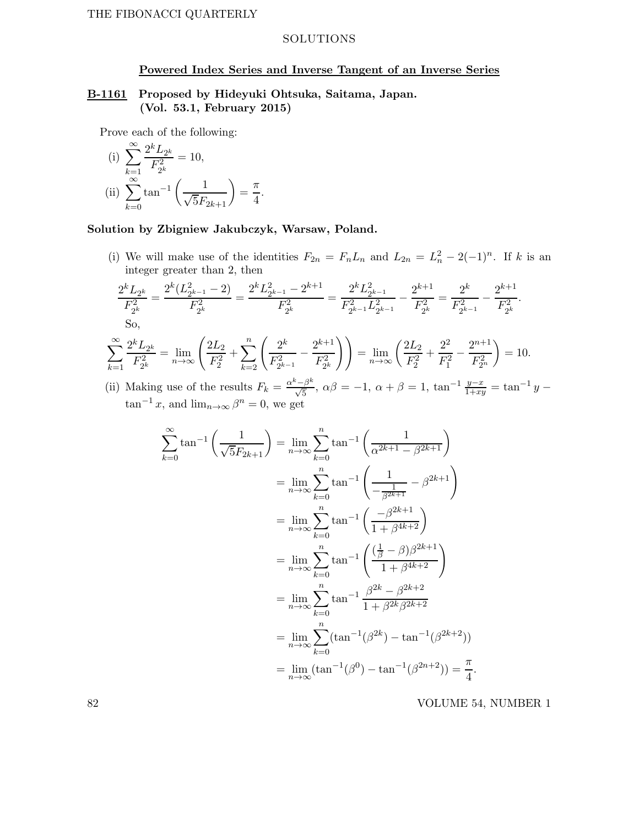### SOLUTIONS

### Powered Index Series and Inverse Tangent of an Inverse Series

## B-1161 Proposed by Hideyuki Ohtsuka, Saitama, Japan. (Vol. 53.1, February 2015)

Prove each of the following:

(i) 
$$
\sum_{k=1}^{\infty} \frac{2^k L_{2^k}}{F_{2^k}^2} = 10,
$$
  
\n(ii) 
$$
\sum_{k=0}^{\infty} \tan^{-1} \left( \frac{1}{\sqrt{5}F_{2k+1}} \right) = \frac{\pi}{4}.
$$

# Solution by Zbigniew Jakubczyk, Warsaw, Poland.

(i) We will make use of the identities  $F_{2n} = F_n L_n$  and  $L_{2n} = L_n^2 - 2(-1)^n$ . If k is an integer greater than 2, then

$$
\frac{2^k L_{2^k}}{F_{2^k}^2} = \frac{2^k (L_{2^{k-1}}^2 - 2)}{F_{2^k}^2} = \frac{2^k L_{2^{k-1}}^2 - 2^{k+1}}{F_{2^k}^2} = \frac{2^k L_{2^{k-1}}^2}{F_{2^{k-1}}^2 L_{2^{k-1}}^2} - \frac{2^{k+1}}{F_{2^k}^2} = \frac{2^k}{F_{2^{k-1}}^2} - \frac{2^{k+1}}{F_{2^k}^2}.
$$
  
So,

$$
\sum_{k=1}^{\infty} \frac{2^k L_{2^k}}{F_{2^k}^2} = \lim_{n \to \infty} \left( \frac{2L_2}{F_2^2} + \sum_{k=2}^n \left( \frac{2^k}{F_{2^{k-1}}^2} - \frac{2^{k+1}}{F_{2^k}^2} \right) \right) = \lim_{n \to \infty} \left( \frac{2L_2}{F_2^2} + \frac{2^2}{F_1^2} - \frac{2^{n+1}}{F_{2^n}^2} \right) = 10.
$$

(ii) Making use of the results  $F_k = \frac{\alpha^k - \beta^k}{\sqrt{5}}$  $\frac{\sqrt{5}}{\sqrt{5}}, \ \alpha\beta = -1, \ \alpha + \beta = 1, \ \tan^{-1} \frac{y-x}{1+xy} = \tan^{-1} y \tan^{-1} x$ , and  $\lim_{n\to\infty} \beta^n = 0$ , we get

$$
\sum_{k=0}^{\infty} \tan^{-1} \left( \frac{1}{\sqrt{5}F_{2k+1}} \right) = \lim_{n \to \infty} \sum_{k=0}^{n} \tan^{-1} \left( \frac{1}{\alpha^{2k+1} - \beta^{2k+1}} \right)
$$
  
\n
$$
= \lim_{n \to \infty} \sum_{k=0}^{n} \tan^{-1} \left( \frac{1}{-\frac{1}{\beta^{2k+1}}} - \beta^{2k+1} \right)
$$
  
\n
$$
= \lim_{n \to \infty} \sum_{k=0}^{n} \tan^{-1} \left( \frac{-\beta^{2k+1}}{1 + \beta^{4k+2}} \right)
$$
  
\n
$$
= \lim_{n \to \infty} \sum_{k=0}^{n} \tan^{-1} \left( \frac{\left(\frac{1}{\beta} - \beta\right)\beta^{2k+1}}{1 + \beta^{4k+2}} \right)
$$
  
\n
$$
= \lim_{n \to \infty} \sum_{k=0}^{n} \tan^{-1} \frac{\beta^{2k} - \beta^{2k+2}}{1 + \beta^{2k} \beta^{2k+2}}
$$
  
\n
$$
= \lim_{n \to \infty} \sum_{k=0}^{n} (\tan^{-1}(\beta^{2k}) - \tan^{-1}(\beta^{2k+2}))
$$
  
\n
$$
= \lim_{n \to \infty} (\tan^{-1}(\beta^{0}) - \tan^{-1}(\beta^{2n+2})) = \frac{\pi}{4}
$$

82 VOLUME 54, NUMBER 1

.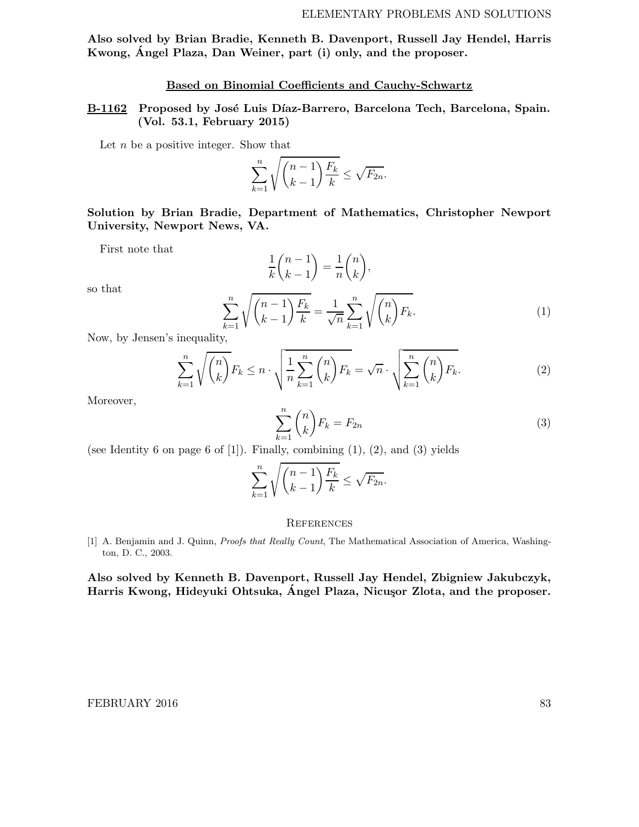Also solved by Brian Bradie, Kenneth B. Davenport, Russell Jay Hendel, Harris Kwong, Angel Plaza, Dan Weiner, part (i) only, and the proposer. ´

## Based on Binomial Coefficients and Cauchy-Schwartz

## B-1162 Proposed by José Luis Díaz-Barrero, Barcelona Tech, Barcelona, Spain. (Vol. 53.1, February 2015)

Let  $n$  be a positive integer. Show that

$$
\sum_{k=1}^{n} \sqrt{\binom{n-1}{k-1} \frac{F_k}{k}} \le \sqrt{F_{2n}}.
$$

Solution by Brian Bradie, Department of Mathematics, Christopher Newport University, Newport News, VA.

First note that

$$
\frac{1}{k} \binom{n-1}{k-1} = \frac{1}{n} \binom{n}{k},
$$

so that

$$
\sum_{k=1}^{n} \sqrt{\binom{n-1}{k-1} \frac{F_k}{k}} = \frac{1}{\sqrt{n}} \sum_{k=1}^{n} \sqrt{\binom{n}{k} F_k}.
$$
\n(1)

Now, by Jensen's inequality,

$$
\sum_{k=1}^{n} \sqrt{\binom{n}{k}} F_k \leq n \cdot \sqrt{\frac{1}{n} \sum_{k=1}^{n} \binom{n}{k}} F_k = \sqrt{n} \cdot \sqrt{\sum_{k=1}^{n} \binom{n}{k}} F_k.
$$
\n(2)

Moreover,

$$
\sum_{k=1}^{n} \binom{n}{k} F_k = F_{2n} \tag{3}
$$

(see Identity 6 on page 6 of  $[1]$ ). Finally, combining  $(1)$ ,  $(2)$ , and  $(3)$  yields

$$
\sum_{k=1}^{n} \sqrt{\binom{n-1}{k-1} \frac{F_k}{k}} \le \sqrt{F_{2n}}.
$$

#### **REFERENCES**

[1] A. Benjamin and J. Quinn, Proofs that Really Count, The Mathematical Association of America, Washington, D. C., 2003.

Also solved by Kenneth B. Davenport, Russell Jay Hendel, Zbigniew Jakubczyk, Harris Kwong, Hideyuki Ohtsuka, Ángel Plaza, Nicuşor Zlota, and the proposer.

### FEBRUARY 2016 83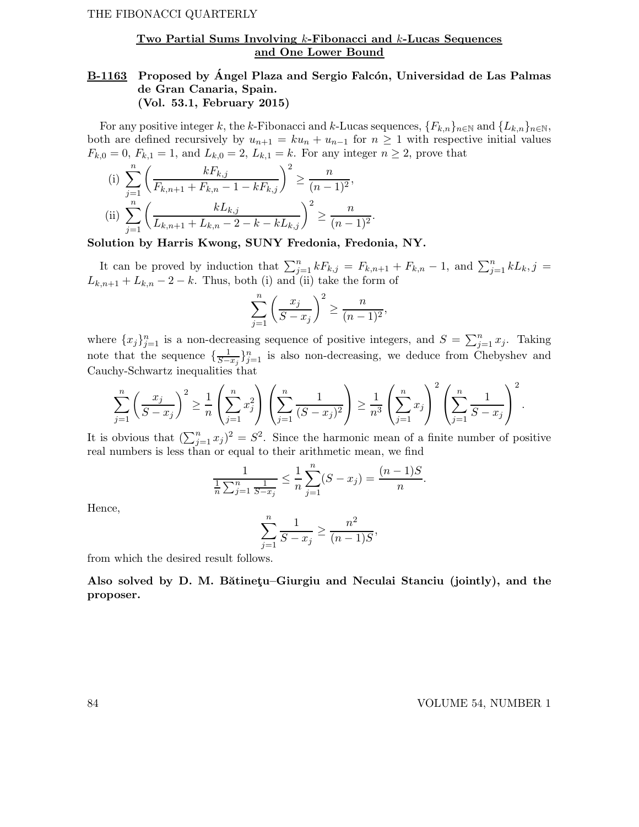## Two Partial Sums Involving k-Fibonacci and k-Lucas Sequences and One Lower Bound

# B-1163 Proposed by Ángel Plaza and Sergio Falcón, Universidad de Las Palmas de Gran Canaria, Spain. (Vol. 53.1, February 2015)

For any positive integer k, the k-Fibonacci and k-Lucas sequences,  ${F_{k,n}}_{n\in\mathbb{N}}$  and  ${L_{k,n}}_{n\in\mathbb{N}}$ , both are defined recursively by  $u_{n+1} = ku_n + u_{n-1}$  for  $n \geq 1$  with respective initial values  $F_{k,0} = 0$ ,  $F_{k,1} = 1$ , and  $L_{k,0} = 2$ ,  $L_{k,1} = k$ . For any integer  $n \ge 2$ , prove that

(i) 
$$
\sum_{j=1}^{n} \left( \frac{kF_{k,j}}{F_{k,n+1} + F_{k,n} - 1 - kF_{k,j}} \right)^2 \ge \frac{n}{(n-1)^2},
$$
  
\n(ii) 
$$
\sum_{j=1}^{n} \left( \frac{kL_{k,j}}{L_{k,n+1} + L_{k,n} - 2 - k - kL_{k,j}} \right)^2 \ge \frac{n}{(n-1)^2}.
$$

Solution by Harris Kwong, SUNY Fredonia, Fredonia, NY.

It can be proved by induction that  $\sum_{j=1}^{n} kF_{k,j} = F_{k,n+1} + F_{k,n} - 1$ , and  $\sum_{j=1}^{n} kL_{k,j} =$  $L_{k,n+1} + L_{k,n} - 2 - k$ . Thus, both (i) and (ii) take the form of

$$
\sum_{j=1}^{n} \left( \frac{x_j}{S - x_j} \right)^2 \ge \frac{n}{(n-1)^2},
$$

where  $\{x_j\}_{j=1}^n$  is a non-decreasing sequence of positive integers, and  $S = \sum_{j=1}^n x_j$ . Taking note that the sequence  $\{\frac{1}{S-1}\}$  $\frac{1}{S-x_j}$ }<sup>n</sup><sub>j=1</sub> is also non-decreasing, we deduce from Chebyshev and Cauchy-Schwartz inequalities that

$$
\sum_{j=1}^{n} \left( \frac{x_j}{S - x_j} \right)^2 \ge \frac{1}{n} \left( \sum_{j=1}^{n} x_j^2 \right) \left( \sum_{j=1}^{n} \frac{1}{(S - x_j)^2} \right) \ge \frac{1}{n^3} \left( \sum_{j=1}^{n} x_j \right)^2 \left( \sum_{j=1}^{n} \frac{1}{S - x_j} \right)^2.
$$

It is obvious that  $(\sum_{j=1}^n x_j)^2 = S^2$ . Since the harmonic mean of a finite number of positive real numbers is less than or equal to their arithmetic mean, we find

$$
\frac{1}{\frac{1}{n}\sum_{j=1}^{n}\frac{1}{S-x_j}} \le \frac{1}{n}\sum_{j=1}^{n}(S-x_j) = \frac{(n-1)S}{n}
$$

Hence,

$$
\sum_{j=1}^{n} \frac{1}{S - x_j} \ge \frac{n^2}{(n-1)S},
$$

from which the desired result follows.

Also solved by D. M. Bătinetu–Giurgiu and Neculai Stanciu (jointly), and the proposer.

.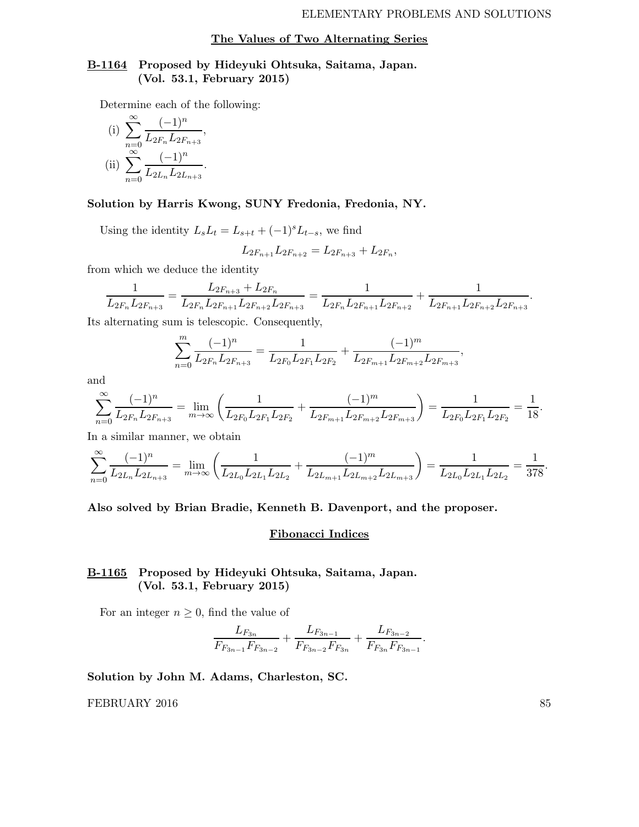#### The Values of Two Alternating Series

## B-1164 Proposed by Hideyuki Ohtsuka, Saitama, Japan. (Vol. 53.1, February 2015)

Determine each of the following:

(i) 
$$
\sum_{n=0}^{\infty} \frac{(-1)^n}{L_{2F_n} L_{2F_{n+3}}},
$$
  
\n(ii) 
$$
\sum_{n=0}^{\infty} \frac{(-1)^n}{L_{2L_n} L_{2L_{n+3}}}.
$$

### Solution by Harris Kwong, SUNY Fredonia, Fredonia, NY.

Using the identity  $L_sL_t = L_{s+t} + (-1)^sL_{t-s}$ , we find

$$
L_{2F_{n+1}}L_{2F_{n+2}} = L_{2F_{n+3}} + L_{2F_n},
$$

from which we deduce the identity

$$
\frac{1}{L_{2F_n}L_{2F_{n+3}}} = \frac{L_{2F_{n+3}} + L_{2F_n}}{L_{2F_n}L_{2F_{n+1}}L_{2F_{n+2}}L_{2F_{n+3}}} = \frac{1}{L_{2F_n}L_{2F_{n+1}}L_{2F_{n+2}}} + \frac{1}{L_{2F_{n+1}}L_{2F_{n+2}}L_{2F_{n+3}}}
$$

Its alternating sum is telescopic. Consequently,

$$
\sum_{n=0}^{m} \frac{(-1)^n}{L_{2F_n} L_{2F_{n+3}}} = \frac{1}{L_{2F_0} L_{2F_1} L_{2F_2}} + \frac{(-1)^m}{L_{2F_{m+1}} L_{2F_{m+2}} L_{2F_{m+3}}},
$$

and

$$
\sum_{n=0}^{\infty} \frac{(-1)^n}{L_{2F_n} L_{2F_{n+3}}} = \lim_{m \to \infty} \left( \frac{1}{L_{2F_0} L_{2F_1} L_{2F_2}} + \frac{(-1)^m}{L_{2F_{m+1}} L_{2F_{m+2}} L_{2F_{m+3}}} \right) = \frac{1}{L_{2F_0} L_{2F_1} L_{2F_2}} = \frac{1}{18}.
$$

In a similar manner, we obtain

$$
\sum_{n=0}^{\infty} \frac{(-1)^n}{L_{2L_n}L_{2L_{n+3}}} = \lim_{m \to \infty} \left( \frac{1}{L_{2L_0}L_{2L_1}L_{2L_2}} + \frac{(-1)^m}{L_{2L_{m+1}}L_{2L_{m+3}}} \right) = \frac{1}{L_{2L_0}L_{2L_1}L_{2L_2}} = \frac{1}{378}.
$$

### Also solved by Brian Bradie, Kenneth B. Davenport, and the proposer.

#### Fibonacci Indices

# B-1165 Proposed by Hideyuki Ohtsuka, Saitama, Japan. (Vol. 53.1, February 2015)

For an integer  $n \geq 0$ , find the value of

$$
\frac{L_{F_{3n}}}{F_{F_{3n-1}}F_{F_{3n-2}}} + \frac{L_{F_{3n-1}}}{F_{F_{3n-2}}F_{F_{3n}}} + \frac{L_{F_{3n-2}}}{F_{F_{3n}}F_{F_{3n-1}}}.
$$

Solution by John M. Adams, Charleston, SC.

FEBRUARY 2016 85

.